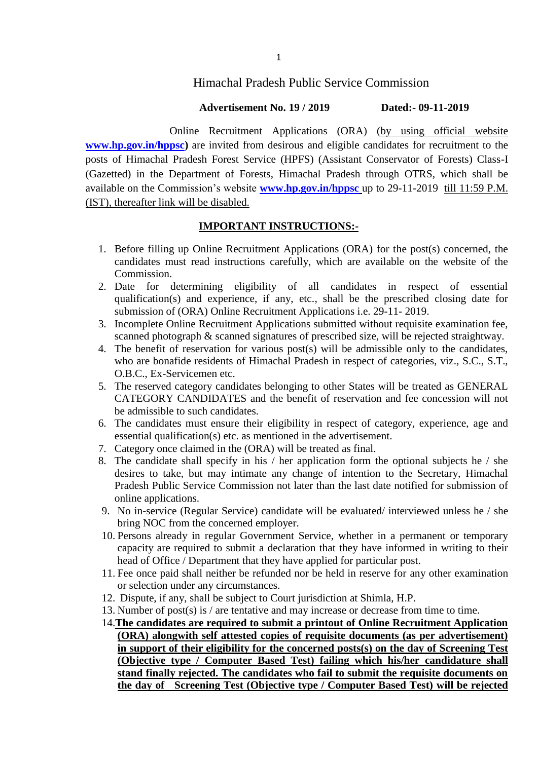## Himachal Pradesh Public Service Commission

#### **Advertisement No. 19 / 2019 Dated:- 09-11-2019**

 Online Recruitment Applications (ORA) (by using official website **[www.hp.gov.in/hppsc\)](http://www.hp.gov.in/hppsc)** are invited from desirous and eligible candidates for recruitment to the posts of Himachal Pradesh Forest Service (HPFS) (Assistant Conservator of Forests) Class-I (Gazetted) in the Department of Forests, Himachal Pradesh through OTRS, which shall be available on the Commission"s website **[www.hp.gov.in/hppsc](http://www.hp.gov.in/hppsc)** up to 29-11-2019 till 11:59 P.M. (IST), thereafter link will be disabled.

### **IMPORTANT INSTRUCTIONS:-**

- 1. Before filling up Online Recruitment Applications (ORA) for the post(s) concerned, the candidates must read instructions carefully, which are available on the website of the Commission.
- 2. Date for determining eligibility of all candidates in respect of essential qualification(s) and experience, if any, etc., shall be the prescribed closing date for submission of (ORA) Online Recruitment Applications i.e. 29-11- 2019.
- 3. Incomplete Online Recruitment Applications submitted without requisite examination fee, scanned photograph & scanned signatures of prescribed size, will be rejected straightway.
- 4. The benefit of reservation for various post(s) will be admissible only to the candidates, who are bonafide residents of Himachal Pradesh in respect of categories, viz., S.C., S.T., O.B.C., Ex-Servicemen etc.
- 5. The reserved category candidates belonging to other States will be treated as GENERAL CATEGORY CANDIDATES and the benefit of reservation and fee concession will not be admissible to such candidates.
- 6. The candidates must ensure their eligibility in respect of category, experience, age and essential qualification(s) etc. as mentioned in the advertisement.
- 7. Category once claimed in the (ORA) will be treated as final.
- 8. The candidate shall specify in his / her application form the optional subjects he / she desires to take, but may intimate any change of intention to the Secretary, Himachal Pradesh Public Service Commission not later than the last date notified for submission of online applications.
- 9. No in-service (Regular Service) candidate will be evaluated/ interviewed unless he / she bring NOC from the concerned employer.
- 10. Persons already in regular Government Service, whether in a permanent or temporary capacity are required to submit a declaration that they have informed in writing to their head of Office / Department that they have applied for particular post.
- 11. Fee once paid shall neither be refunded nor be held in reserve for any other examination or selection under any circumstances.
- 12. Dispute, if any, shall be subject to Court jurisdiction at Shimla, H.P.
- 13. Number of post(s) is / are tentative and may increase or decrease from time to time.
- 14.**The candidates are required to submit a printout of Online Recruitment Application (ORA) alongwith self attested copies of requisite documents (as per advertisement) in support of their eligibility for the concerned posts(s) on the day of Screening Test (Objective type / Computer Based Test) failing which his/her candidature shall stand finally rejected. The candidates who fail to submit the requisite documents on the day of Screening Test (Objective type / Computer Based Test) will be rejected**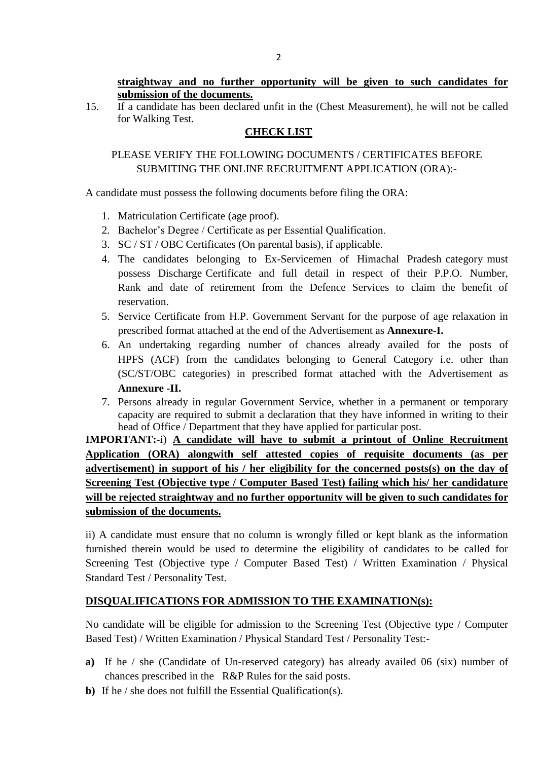15. If a candidate has been declared unfit in the (Chest Measurement), he will not be called for Walking Test.

# **CHECK LIST**

# PLEASE VERIFY THE FOLLOWING DOCUMENTS / CERTIFICATES BEFORE SUBMITING THE ONLINE RECRUITMENT APPLICATION (ORA):-

A candidate must possess the following documents before filing the ORA:

- 1. Matriculation Certificate (age proof).
- 2. Bachelor"s Degree / Certificate as per Essential Qualification.
- 3. SC / ST / OBC Certificates (On parental basis), if applicable.
- 4. The candidates belonging to Ex-Servicemen of Himachal Pradesh category must possess Discharge Certificate and full detail in respect of their P.P.O. Number, Rank and date of retirement from the Defence Services to claim the benefit of reservation.
- 5. Service Certificate from H.P. Government Servant for the purpose of age relaxation in prescribed format attached at the end of the Advertisement as **Annexure-I.**
- 6. An undertaking regarding number of chances already availed for the posts of HPFS (ACF) from the candidates belonging to General Category i.e. other than (SC/ST/OBC categories) in prescribed format attached with the Advertisement as **Annexure -II.**
- 7. Persons already in regular Government Service, whether in a permanent or temporary capacity are required to submit a declaration that they have informed in writing to their head of Office / Department that they have applied for particular post.

# **IMPORTANT:-**i) **A candidate will have to submit a printout of Online Recruitment Application (ORA) alongwith self attested copies of requisite documents (as per advertisement) in support of his / her eligibility for the concerned posts(s) on the day of Screening Test (Objective type / Computer Based Test) failing which his/ her candidature will be rejected straightway and no further opportunity will be given to such candidates for submission of the documents.**

ii) A candidate must ensure that no column is wrongly filled or kept blank as the information furnished therein would be used to determine the eligibility of candidates to be called for Screening Test (Objective type / Computer Based Test) / Written Examination / Physical Standard Test / Personality Test.

# **DISQUALIFICATIONS FOR ADMISSION TO THE EXAMINATION(s):**

No candidate will be eligible for admission to the Screening Test (Objective type / Computer Based Test) / Written Examination / Physical Standard Test / Personality Test:-

- **a)** If he / she (Candidate of Un-reserved category) has already availed 06 (six) number of chances prescribed in the R&P Rules for the said posts.
- **b**) If he / she does not fulfill the Essential Qualification(s).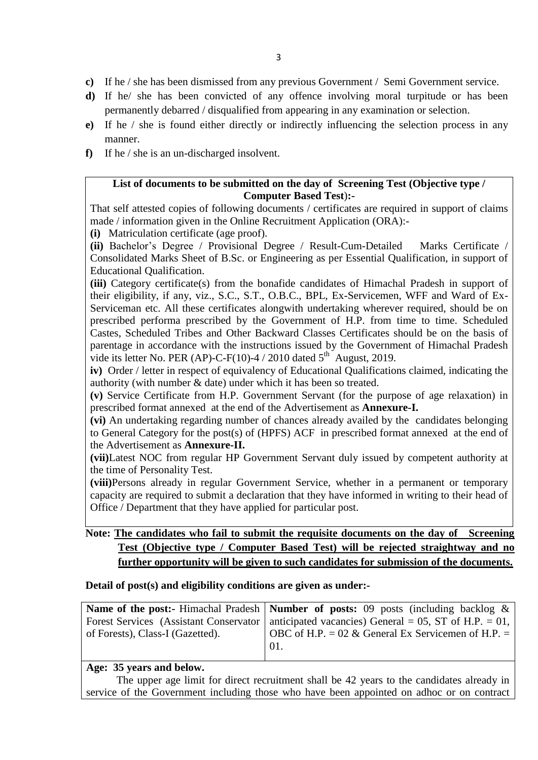- **c)** If he / she has been dismissed from any previous Government / Semi Government service.
- **d)** If he/ she has been convicted of any offence involving moral turpitude or has been permanently debarred / disqualified from appearing in any examination or selection.
- **e)** If he / she is found either directly or indirectly influencing the selection process in any manner.
- **f)** If he / she is an un-discharged insolvent.

### **List of documents to be submitted on the day of Screening Test (Objective type / Computer Based Test**)**:-**

That self attested copies of following documents / certificates are required in support of claims made / information given in the Online Recruitment Application (ORA):-

**(i)** Matriculation certificate (age proof).

**(ii)** Bachelor"s Degree / Provisional Degree / Result-Cum-Detailed Marks Certificate / Consolidated Marks Sheet of B.Sc. or Engineering as per Essential Qualification, in support of Educational Qualification.

**(iii)** Category certificate(s) from the bonafide candidates of Himachal Pradesh in support of their eligibility, if any, viz., S.C., S.T., O.B.C., BPL, Ex-Servicemen, WFF and Ward of Ex-Serviceman etc. All these certificates alongwith undertaking wherever required, should be on prescribed performa prescribed by the Government of H.P. from time to time. Scheduled Castes, Scheduled Tribes and Other Backward Classes Certificates should be on the basis of parentage in accordance with the instructions issued by the Government of Himachal Pradesh vide its letter No. PER (AP)-C-F(10)-4 / 2010 dated  $5<sup>th</sup>$  August, 2019.

**iv)** Order / letter in respect of equivalency of Educational Qualifications claimed, indicating the authority (with number & date) under which it has been so treated.

**(v)** Service Certificate from H.P. Government Servant (for the purpose of age relaxation) in prescribed format annexed at the end of the Advertisement as **Annexure-I.**

**(vi)** An undertaking regarding number of chances already availed by the candidates belonging to General Category for the post(s) of (HPFS) ACF in prescribed format annexed at the end of the Advertisement as **Annexure-II.**

**(vii)**Latest NOC from regular HP Government Servant duly issued by competent authority at the time of Personality Test.

**(viii)**Persons already in regular Government Service, whether in a permanent or temporary capacity are required to submit a declaration that they have informed in writing to their head of Office / Department that they have applied for particular post.

# Note: The candidates who fail to submit the requisite documents on the day of Screening **Test (Objective type / Computer Based Test) will be rejected straightway and no further opportunity will be given to such candidates for submission of the documents.**

#### **Detail of post(s) and eligibility conditions are given as under:-**

|                                  | <b>Name of the post:</b> Himachal Pradesh   <b>Number of posts:</b> 09 posts (including backlog $\&$ |
|----------------------------------|------------------------------------------------------------------------------------------------------|
|                                  | Forest Services (Assistant Conservator   anticipated vacancies) General = 05, ST of H.P. = 01,       |
| of Forests), Class-I (Gazetted). | $\vert$ OBC of H.P. = 02 & General Ex Servicemen of H.P. =                                           |
|                                  | 01.                                                                                                  |
|                                  |                                                                                                      |

### **Age: 35 years and below.**

The upper age limit for direct recruitment shall be 42 years to the candidates already in service of the Government including those who have been appointed on adhoc or on contract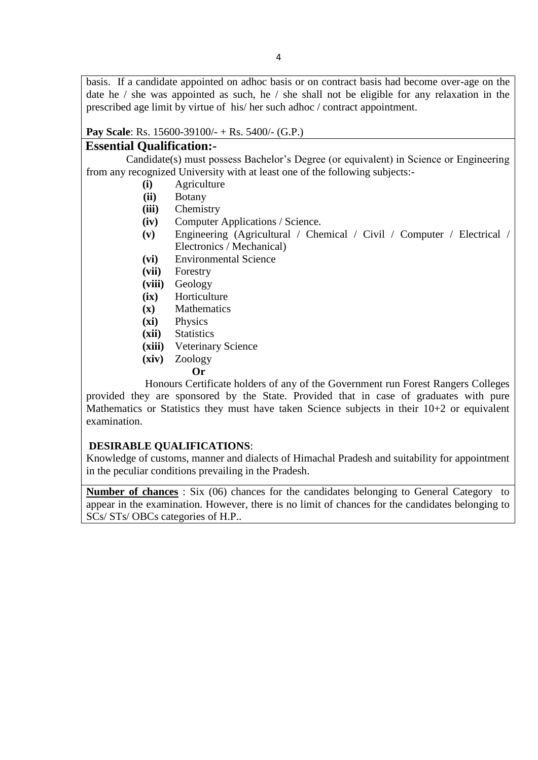basis. If a candidate appointed on adhoc basis or on contract basis had become over-age on the date he  $\ell$  she was appointed as such, he  $\ell$  she shall not be eligible for any relaxation in the prescribed age limit by virtue of his/ her such adhoc / contract appointment.

### **Pay Scale**: Rs. 15600-39100/- + Rs. 5400/- (G.P.)

## **Essential Qualification:-**

Candidate(s) must possess Bachelor"s Degree (or equivalent) in Science or Engineering from any recognized University with at least one of the following subjects:-

- **(i)** Agriculture
- **(ii)** Botany
- **(iii)** Chemistry
- **(iv)** Computer Applications / Science.
- **(v)** Engineering (Agricultural / Chemical / Civil / Computer / Electrical / Electronics / Mechanical)
- **(vi)** Environmental Science
- **(vii)** Forestry
- **(viii)** Geology
- **(ix)** Horticulture
- **(x)** Mathematics
- **(xi)** Physics
- **(xii)** Statistics
- **(xiii)** Veterinary Science
- **(xiv)** Zoology
- **Or**

Honours Certificate holders of any of the Government run Forest Rangers Colleges provided they are sponsored by the State. Provided that in case of graduates with pure Mathematics or Statistics they must have taken Science subjects in their 10+2 or equivalent examination.

### **DESIRABLE QUALIFICATIONS**:

Knowledge of customs, manner and dialects of Himachal Pradesh and suitability for appointment in the peculiar conditions prevailing in the Pradesh.

**Number of chances** : Six (06) chances for the candidates belonging to General Category to appear in the examination. However, there is no limit of chances for the candidates belonging to SCs/ STs/ OBCs categories of H.P..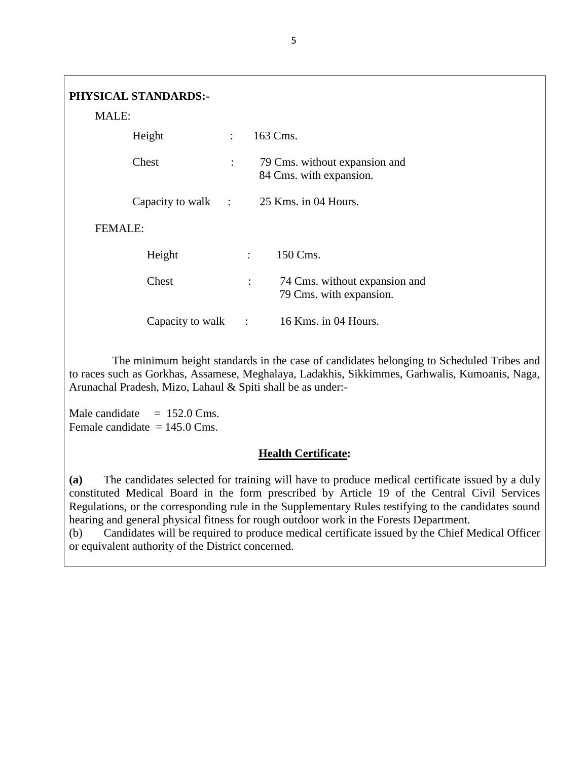| MALE:          | <b>PHYSICAL STANDARDS:-</b> |                           |                                                                            |
|----------------|-----------------------------|---------------------------|----------------------------------------------------------------------------|
|                | Height                      | $\mathbb{R}^{\mathbb{Z}}$ | 163 Cms.                                                                   |
|                | Chest                       | $\ddot{\cdot}$            | 79 Cms. without expansion and<br>84 Cms. with expansion.                   |
|                |                             |                           | Capacity to walk : 25 Kms. in 04 Hours.                                    |
| <b>FEMALE:</b> |                             |                           |                                                                            |
|                | Height                      |                           | 150 Cms.<br>$\mathcal{L}$                                                  |
|                | Chest                       |                           | 74 Cms. without expansion and<br>$\ddot{\cdot}$<br>79 Cms. with expansion. |
|                | Capacity to walk            | $\sim$ :                  | $16$ Kms. in 04 Hours.                                                     |

The minimum height standards in the case of candidates belonging to Scheduled Tribes and to races such as Gorkhas, Assamese, Meghalaya, Ladakhis, Sikkimmes, Garhwalis, Kumoanis, Naga, Arunachal Pradesh, Mizo, Lahaul & Spiti shall be as under:-

Male candidate  $= 152.0$  Cms. Female candidate  $= 145.0$  Cms.

### **Health Certificate:**

**(a)** The candidates selected for training will have to produce medical certificate issued by a duly constituted Medical Board in the form prescribed by Article 19 of the Central Civil Services Regulations, or the corresponding rule in the Supplementary Rules testifying to the candidates sound hearing and general physical fitness for rough outdoor work in the Forests Department.

(b) Candidates will be required to produce medical certificate issued by the Chief Medical Officer or equivalent authority of the District concerned.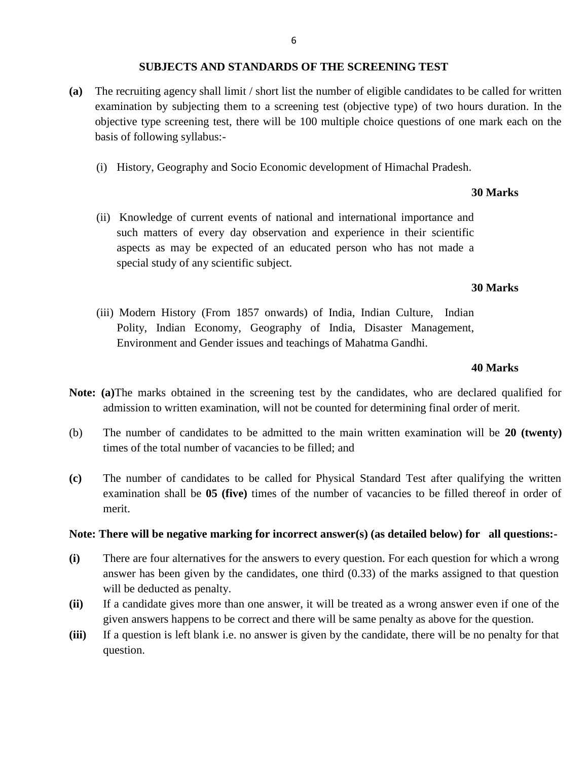#### **SUBJECTS AND STANDARDS OF THE SCREENING TEST**

- **(a)** The recruiting agency shall limit / short list the number of eligible candidates to be called for written examination by subjecting them to a screening test (objective type) of two hours duration. In the objective type screening test, there will be 100 multiple choice questions of one mark each on the basis of following syllabus:-
	- (i) History, Geography and Socio Economic development of Himachal Pradesh.

#### **30 Marks**

(ii) Knowledge of current events of national and international importance and such matters of every day observation and experience in their scientific aspects as may be expected of an educated person who has not made a special study of any scientific subject.

#### **30 Marks**

(iii) Modern History (From 1857 onwards) of India, Indian Culture, Indian Polity, Indian Economy, Geography of India, Disaster Management, Environment and Gender issues and teachings of Mahatma Gandhi.

#### **40 Marks**

- **Note: (a)**The marks obtained in the screening test by the candidates, who are declared qualified for admission to written examination, will not be counted for determining final order of merit.
- (b) The number of candidates to be admitted to the main written examination will be **20 (twenty)** times of the total number of vacancies to be filled; and
- **(c)** The number of candidates to be called for Physical Standard Test after qualifying the written examination shall be **05 (five)** times of the number of vacancies to be filled thereof in order of merit.

#### **Note: There will be negative marking for incorrect answer(s) (as detailed below) for all questions:-**

- **(i)** There are four alternatives for the answers to every question. For each question for which a wrong answer has been given by the candidates, one third (0.33) of the marks assigned to that question will be deducted as penalty.
- **(ii)** If a candidate gives more than one answer, it will be treated as a wrong answer even if one of the given answers happens to be correct and there will be same penalty as above for the question.
- **(iii)** If a question is left blank i.e. no answer is given by the candidate, there will be no penalty for that question.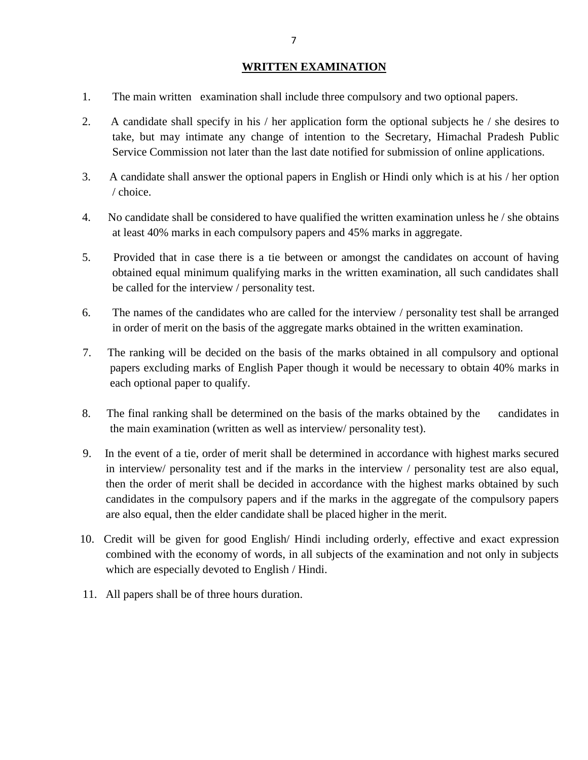### **WRITTEN EXAMINATION**

- 1. The main written examination shall include three compulsory and two optional papers.
- 2. A candidate shall specify in his / her application form the optional subjects he / she desires to take, but may intimate any change of intention to the Secretary, Himachal Pradesh Public Service Commission not later than the last date notified for submission of online applications.
- 3. A candidate shall answer the optional papers in English or Hindi only which is at his / her option / choice.
- 4. No candidate shall be considered to have qualified the written examination unless he / she obtains at least 40% marks in each compulsory papers and 45% marks in aggregate.
- 5. Provided that in case there is a tie between or amongst the candidates on account of having obtained equal minimum qualifying marks in the written examination, all such candidates shall be called for the interview / personality test.
- 6. The names of the candidates who are called for the interview / personality test shall be arranged in order of merit on the basis of the aggregate marks obtained in the written examination.
- 7. The ranking will be decided on the basis of the marks obtained in all compulsory and optional papers excluding marks of English Paper though it would be necessary to obtain 40% marks in each optional paper to qualify.
- 8. The final ranking shall be determined on the basis of the marks obtained by the candidates in the main examination (written as well as interview/ personality test).
- 9. In the event of a tie, order of merit shall be determined in accordance with highest marks secured in interview/ personality test and if the marks in the interview / personality test are also equal, then the order of merit shall be decided in accordance with the highest marks obtained by such candidates in the compulsory papers and if the marks in the aggregate of the compulsory papers are also equal, then the elder candidate shall be placed higher in the merit.
- 10. Credit will be given for good English/ Hindi including orderly, effective and exact expression combined with the economy of words, in all subjects of the examination and not only in subjects which are especially devoted to English / Hindi.
- 11. All papers shall be of three hours duration.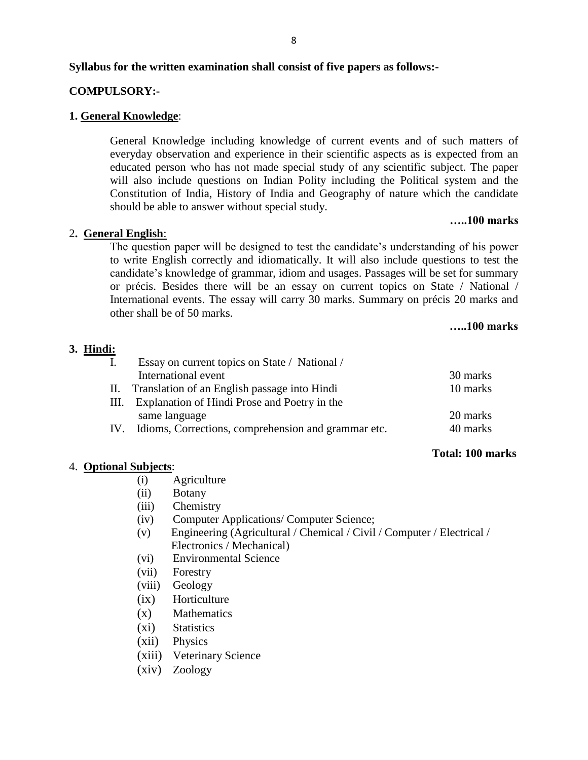#### **Syllabus for the written examination shall consist of five papers as follows:-**

### **COMPULSORY:-**

#### **1. General Knowledge**:

General Knowledge including knowledge of current events and of such matters of everyday observation and experience in their scientific aspects as is expected from an educated person who has not made special study of any scientific subject. The paper will also include questions on Indian Polity including the Political system and the Constitution of India, History of India and Geography of nature which the candidate should be able to answer without special study.

#### **…..100 marks**

### 2**. General English**:

The question paper will be designed to test the candidate's understanding of his power to write English correctly and idiomatically. It will also include questions to test the candidate"s knowledge of grammar, idiom and usages. Passages will be set for summary or précis. Besides there will be an essay on current topics on State / National / International events. The essay will carry 30 marks. Summary on précis 20 marks and other shall be of 50 marks.

#### **…..100 marks**

#### **3. Hindi:**

| $\mathbf{I}$ . | Essay on current topics on State / National /       |          |
|----------------|-----------------------------------------------------|----------|
|                | International event                                 | 30 marks |
| H.             | Translation of an English passage into Hindi        | 10 marks |
| HI.            | Explanation of Hindi Prose and Poetry in the        |          |
|                | same language                                       | 20 marks |
| IV.            | Idioms, Corrections, comprehension and grammar etc. | 40 marks |

#### **Total: 100 marks**

#### 4. **Optional Subjects**:

- (i) Agriculture
- (ii) Botany
- (iii) Chemistry
- (iv) Computer Applications/ Computer Science;
- (v) Engineering (Agricultural / Chemical / Civil / Computer / Electrical / Electronics / Mechanical)
- (vi) Environmental Science
- (vii) Forestry
- (viii) Geology
- (ix) Horticulture
- (x) Mathematics
- (xi) Statistics
- (xii) Physics
- (xiii) Veterinary Science
- (xiv) Zoology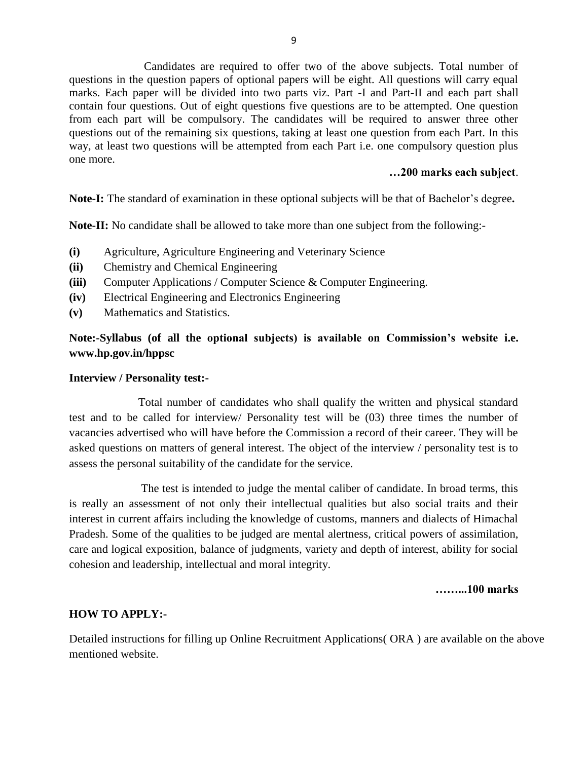Candidates are required to offer two of the above subjects. Total number of questions in the question papers of optional papers will be eight. All questions will carry equal marks. Each paper will be divided into two parts viz. Part -I and Part-II and each part shall contain four questions. Out of eight questions five questions are to be attempted. One question from each part will be compulsory. The candidates will be required to answer three other questions out of the remaining six questions, taking at least one question from each Part. In this way, at least two questions will be attempted from each Part i.e. one compulsory question plus one more.

#### **…200 marks each subject**.

Note-I: The standard of examination in these optional subjects will be that of Bachelor's degree.

**Note-II:** No candidate shall be allowed to take more than one subject from the following:-

- **(i)** Agriculture, Agriculture Engineering and Veterinary Science
- **(ii)** Chemistry and Chemical Engineering
- **(iii)** Computer Applications / Computer Science & Computer Engineering.
- **(iv)** Electrical Engineering and Electronics Engineering
- **(v)** Mathematics and Statistics.

**Note:-Syllabus (of all the optional subjects) is available on Commission's website i.e. www.hp.gov.in/hppsc**

#### **Interview / Personality test:-**

Total number of candidates who shall qualify the written and physical standard test and to be called for interview/ Personality test will be (03) three times the number of vacancies advertised who will have before the Commission a record of their career. They will be asked questions on matters of general interest. The object of the interview / personality test is to assess the personal suitability of the candidate for the service.

The test is intended to judge the mental caliber of candidate. In broad terms, this is really an assessment of not only their intellectual qualities but also social traits and their interest in current affairs including the knowledge of customs, manners and dialects of Himachal Pradesh. Some of the qualities to be judged are mental alertness, critical powers of assimilation, care and logical exposition, balance of judgments, variety and depth of interest, ability for social cohesion and leadership, intellectual and moral integrity.

**……...100 marks**

#### **HOW TO APPLY:-**

Detailed instructions for filling up Online Recruitment Applications( ORA ) are available on the above mentioned website.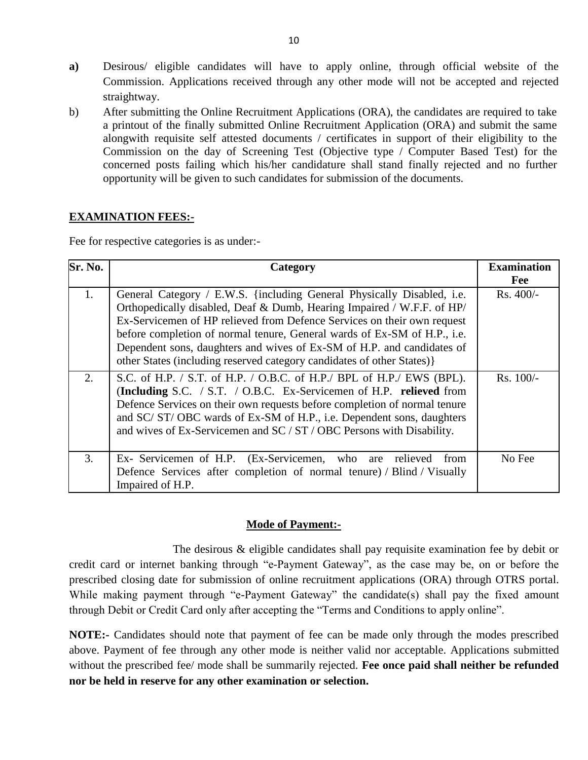- **a)** Desirous/ eligible candidates will have to apply online, through official website of the Commission. Applications received through any other mode will not be accepted and rejected straightway.
- b) After submitting the Online Recruitment Applications (ORA), the candidates are required to take a printout of the finally submitted Online Recruitment Application (ORA) and submit the same alongwith requisite self attested documents / certificates in support of their eligibility to the Commission on the day of Screening Test (Objective type / Computer Based Test) for the concerned posts failing which his/her candidature shall stand finally rejected and no further opportunity will be given to such candidates for submission of the documents.

### **EXAMINATION FEES:-**

Fee for respective categories is as under:-

| $S$ r. No. | Category                                                                                                                                                                                                                                                                                                                                                                                                                                                     | <b>Examination</b> |
|------------|--------------------------------------------------------------------------------------------------------------------------------------------------------------------------------------------------------------------------------------------------------------------------------------------------------------------------------------------------------------------------------------------------------------------------------------------------------------|--------------------|
|            |                                                                                                                                                                                                                                                                                                                                                                                                                                                              | Fee                |
| 1.         | General Category / E.W.S. {including General Physically Disabled, i.e.<br>Orthopedically disabled, Deaf & Dumb, Hearing Impaired / W.F.F. of HP/<br>Ex-Servicemen of HP relieved from Defence Services on their own request<br>before completion of normal tenure, General wards of Ex-SM of H.P., i.e.<br>Dependent sons, daughters and wives of Ex-SM of H.P. and candidates of<br>other States (including reserved category candidates of other States) } | Rs. 400/-          |
| 2.         | S.C. of H.P. / S.T. of H.P. / O.B.C. of H.P./ BPL of H.P./ EWS (BPL).<br>(Including S.C. / S.T. / O.B.C. Ex-Servicemen of H.P. relieved from<br>Defence Services on their own requests before completion of normal tenure<br>and SC/ST/OBC wards of Ex-SM of H.P., i.e. Dependent sons, daughters<br>and wives of Ex-Servicemen and SC / ST / OBC Persons with Disability.                                                                                   | $Rs. 100/-$        |
| 3.         | Ex- Servicemen of H.P. (Ex-Servicemen, who are<br>relieved<br>from<br>Defence Services after completion of normal tenure) / Blind / Visually<br>Impaired of H.P.                                                                                                                                                                                                                                                                                             | No Fee             |

#### **Mode of Payment:-**

The desirous & eligible candidates shall pay requisite examination fee by debit or credit card or internet banking through "e-Payment Gateway", as the case may be, on or before the prescribed closing date for submission of online recruitment applications (ORA) through OTRS portal. While making payment through "e-Payment Gateway" the candidate(s) shall pay the fixed amount through Debit or Credit Card only after accepting the "Terms and Conditions to apply online".

**NOTE:-** Candidates should note that payment of fee can be made only through the modes prescribed above. Payment of fee through any other mode is neither valid nor acceptable. Applications submitted without the prescribed fee/ mode shall be summarily rejected. **Fee once paid shall neither be refunded nor be held in reserve for any other examination or selection.**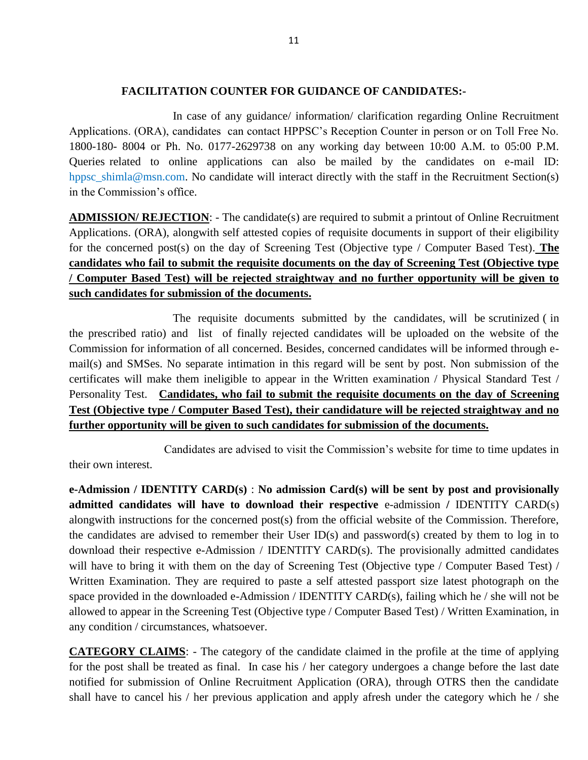#### **FACILITATION COUNTER FOR GUIDANCE OF CANDIDATES:-**

In case of any guidance/ information/ clarification regarding Online Recruitment Applications. (ORA), candidates can contact HPPSC"s Reception Counter in person or on Toll Free No. 1800-180- 8004 or Ph. No. 0177-2629738 on any working day between 10:00 A.M. to 05:00 P.M. Queries related to online applications can also be mailed by the candidates on e-mail ID: hppsc\_shimla@msn.com. No candidate will interact directly with the staff in the Recruitment Section(s) in the Commission's office.

**ADMISSION/ REJECTION**: - The candidate(s) are required to submit a printout of Online Recruitment Applications. (ORA), alongwith self attested copies of requisite documents in support of their eligibility for the concerned post(s) on the day of Screening Test (Objective type / Computer Based Test). **The candidates who fail to submit the requisite documents on the day of Screening Test (Objective type / Computer Based Test) will be rejected straightway and no further opportunity will be given to such candidates for submission of the documents.**

The requisite documents submitted by the candidates, will be scrutinized ( in the prescribed ratio) and list of finally rejected candidates will be uploaded on the website of the Commission for information of all concerned. Besides, concerned candidates will be informed through email(s) and SMSes. No separate intimation in this regard will be sent by post. Non submission of the certificates will make them ineligible to appear in the Written examination / Physical Standard Test / Personality Test. **Candidates, who fail to submit the requisite documents on the day of Screening Test (Objective type / Computer Based Test), their candidature will be rejected straightway and no further opportunity will be given to such candidates for submission of the documents.** 

 Candidates are advised to visit the Commission"s website for time to time updates in their own interest.

**e-Admission / IDENTITY CARD(s)** : **No admission Card(s) will be sent by post and provisionally admitted candidates will have to download their respective** e-admission **/** IDENTITY CARD(s) alongwith instructions for the concerned post(s) from the official website of the Commission. Therefore, the candidates are advised to remember their User ID(s) and password(s) created by them to log in to download their respective e-Admission / IDENTITY CARD(s). The provisionally admitted candidates will have to bring it with them on the day of Screening Test (Objective type / Computer Based Test) / Written Examination. They are required to paste a self attested passport size latest photograph on the space provided in the downloaded e-Admission / IDENTITY CARD(s), failing which he / she will not be allowed to appear in the Screening Test (Objective type / Computer Based Test) / Written Examination, in any condition / circumstances, whatsoever.

**CATEGORY CLAIMS**: - The category of the candidate claimed in the profile at the time of applying for the post shall be treated as final. In case his / her category undergoes a change before the last date notified for submission of Online Recruitment Application (ORA), through OTRS then the candidate shall have to cancel his / her previous application and apply afresh under the category which he / she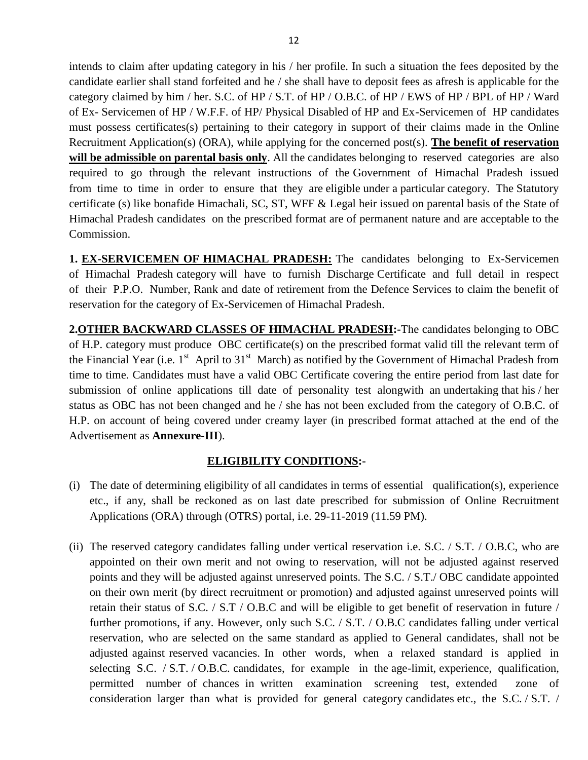intends to claim after updating category in his / her profile. In such a situation the fees deposited by the candidate earlier shall stand forfeited and he / she shall have to deposit fees as afresh is applicable for the category claimed by him / her. S.C. of HP / S.T. of HP / O.B.C. of HP / EWS of HP / BPL of HP / Ward of Ex- Servicemen of HP / W.F.F. of HP/ Physical Disabled of HP and Ex-Servicemen of HP candidates must possess certificates(s) pertaining to their category in support of their claims made in the Online Recruitment Application(s) (ORA), while applying for the concerned post(s). **The benefit of reservation**  will be admissible on parental basis only. All the candidates belonging to reserved categories are also required to go through the relevant instructions of the Government of Himachal Pradesh issued from time to time in order to ensure that they are eligible under a particular category. The Statutory certificate (s) like bonafide Himachali, SC, ST, WFF & Legal heir issued on parental basis of the State of Himachal Pradesh candidates on the prescribed format are of permanent nature and are acceptable to the Commission.

**1. EX-SERVICEMEN OF HIMACHAL PRADESH:** The candidates belonging to Ex-Servicemen of Himachal Pradesh category will have to furnish Discharge Certificate and full detail in respect of their P.P.O. Number, Rank and date of retirement from the Defence Services to claim the benefit of reservation for the category of Ex-Servicemen of Himachal Pradesh.

**2.OTHER BACKWARD CLASSES OF HIMACHAL PRADESH:-**The candidates belonging to OBC of H.P. category must produce OBC certificate(s) on the prescribed format valid till the relevant term of the Financial Year (i.e.  $1<sup>st</sup>$  April to  $31<sup>st</sup>$  March) as notified by the Government of Himachal Pradesh from time to time. Candidates must have a valid OBC Certificate covering the entire period from last date for submission of online applications till date of personality test alongwith an undertaking that his / her status as OBC has not been changed and he / she has not been excluded from the category of O.B.C. of H.P. on account of being covered under creamy layer (in prescribed format attached at the end of the Advertisement as **Annexure-III**).

#### **ELIGIBILITY CONDITIONS:-**

- (i) The date of determining eligibility of all candidates in terms of essential qualification(s), experience etc., if any, shall be reckoned as on last date prescribed for submission of Online Recruitment Applications (ORA) through (OTRS) portal, i.e. 29-11-2019 (11.59 PM).
- (ii) The reserved category candidates falling under vertical reservation i.e. S.C. / S.T. / O.B.C, who are appointed on their own merit and not owing to reservation, will not be adjusted against reserved points and they will be adjusted against unreserved points. The S.C. / S.T./ OBC candidate appointed on their own merit (by direct recruitment or promotion) and adjusted against unreserved points will retain their status of S.C. / S.T / O.B.C and will be eligible to get benefit of reservation in future / further promotions, if any. However, only such S.C. / S.T. / O.B.C candidates falling under vertical reservation, who are selected on the same standard as applied to General candidates, shall not be adjusted against reserved vacancies. In other words, when a relaxed standard is applied in selecting S.C. / S.T. / O.B.C. candidates, for example in the age-limit, experience, qualification, permitted number of chances in written examination screening test, extended zone of consideration larger than what is provided for general category candidates etc., the S.C. / S.T. /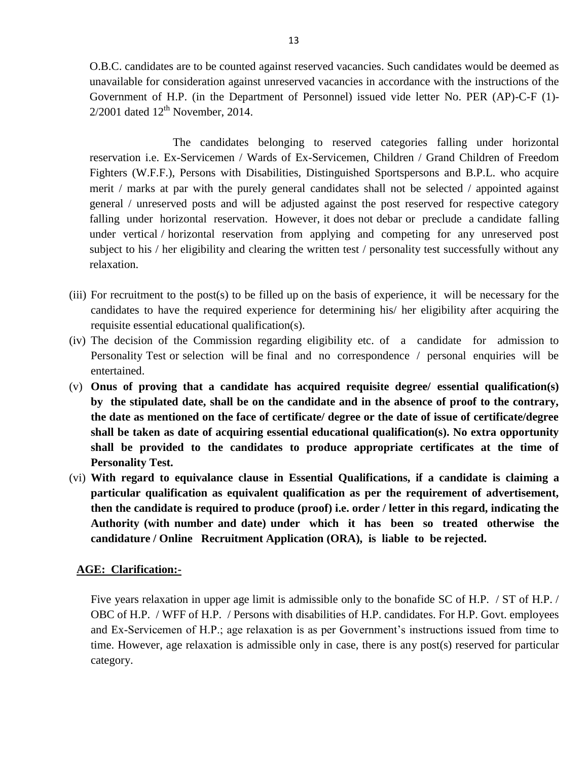O.B.C. candidates are to be counted against reserved vacancies. Such candidates would be deemed as unavailable for consideration against unreserved vacancies in accordance with the instructions of the Government of H.P. (in the Department of Personnel) issued vide letter No. PER (AP)-C-F (1)-  $2/2001$  dated  $12<sup>th</sup>$  November, 2014.

The candidates belonging to reserved categories falling under horizontal reservation i.e. Ex-Servicemen / Wards of Ex-Servicemen, Children / Grand Children of Freedom Fighters (W.F.F.), Persons with Disabilities, Distinguished Sportspersons and B.P.L. who acquire merit / marks at par with the purely general candidates shall not be selected / appointed against general / unreserved posts and will be adjusted against the post reserved for respective category falling under horizontal reservation. However, it does not debar or preclude a candidate falling under vertical / horizontal reservation from applying and competing for any unreserved post subject to his / her eligibility and clearing the written test / personality test successfully without any relaxation.

- (iii) For recruitment to the post(s) to be filled up on the basis of experience, it will be necessary for the candidates to have the required experience for determining his/ her eligibility after acquiring the requisite essential educational qualification(s).
- (iv) The decision of the Commission regarding eligibility etc. of a candidate for admission to Personality Test or selection will be final and no correspondence / personal enquiries will be entertained.
- (v) **Onus of proving that a candidate has acquired requisite degree/ essential qualification(s) by the stipulated date, shall be on the candidate and in the absence of proof to the contrary, the date as mentioned on the face of certificate/ degree or the date of issue of certificate/degree shall be taken as date of acquiring essential educational qualification(s). No extra opportunity shall be provided to the candidates to produce appropriate certificates at the time of Personality Test.**
- (vi) **With regard to equivalance clause in Essential Qualifications, if a candidate is claiming a particular qualification as equivalent qualification as per the requirement of advertisement, then the candidate is required to produce (proof) i.e. order / letter in this regard, indicating the Authority (with number and date) under which it has been so treated otherwise the candidature / Online Recruitment Application (ORA), is liable to be rejected.**

#### **AGE: Clarification:-**

Five years relaxation in upper age limit is admissible only to the bonafide SC of H.P. / ST of H.P. / OBC of H.P. / WFF of H.P. / Persons with disabilities of H.P. candidates. For H.P. Govt. employees and Ex-Servicemen of H.P.; age relaxation is as per Government"s instructions issued from time to time. However, age relaxation is admissible only in case, there is any post(s) reserved for particular category.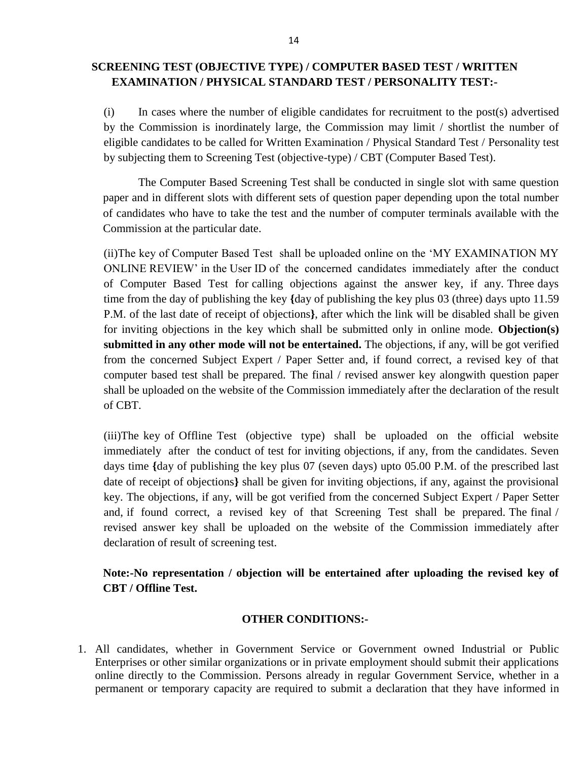## **SCREENING TEST (OBJECTIVE TYPE) / COMPUTER BASED TEST / WRITTEN EXAMINATION / PHYSICAL STANDARD TEST / PERSONALITY TEST:-**

(i) In cases where the number of eligible candidates for recruitment to the post(s) advertised by the Commission is inordinately large, the Commission may limit / shortlist the number of eligible candidates to be called for Written Examination / Physical Standard Test / Personality test by subjecting them to Screening Test (objective-type) / CBT (Computer Based Test).

The Computer Based Screening Test shall be conducted in single slot with same question paper and in different slots with different sets of question paper depending upon the total number of candidates who have to take the test and the number of computer terminals available with the Commission at the particular date.

(ii)The key of Computer Based Test shall be uploaded online on the "MY EXAMINATION MY ONLINE REVIEW" in the User ID of the concerned candidates immediately after the conduct of Computer Based Test for calling objections against the answer key, if any. Three days time from the day of publishing the key **{**day of publishing the key plus 03 (three) days upto 11.59 P.M. of the last date of receipt of objections**}**, after which the link will be disabled shall be given for inviting objections in the key which shall be submitted only in online mode. **Objection(s) submitted in any other mode will not be entertained.** The objections, if any, will be got verified from the concerned Subject Expert / Paper Setter and, if found correct, a revised key of that computer based test shall be prepared. The final / revised answer key alongwith question paper shall be uploaded on the website of the Commission immediately after the declaration of the result of CBT.

(iii)The key of Offline Test (objective type) shall be uploaded on the official website immediately after the conduct of test for inviting objections, if any, from the candidates. Seven days time **{**day of publishing the key plus 07 (seven days) upto 05.00 P.M. of the prescribed last date of receipt of objections**}** shall be given for inviting objections, if any, against the provisional key. The objections, if any, will be got verified from the concerned Subject Expert / Paper Setter and, if found correct, a revised key of that Screening Test shall be prepared. The final / revised answer key shall be uploaded on the website of the Commission immediately after declaration of result of screening test.

**Note:-No representation / objection will be entertained after uploading the revised key of CBT / Offline Test.**

#### **OTHER CONDITIONS:-**

1. All candidates, whether in Government Service or Government owned Industrial or Public Enterprises or other similar organizations or in private employment should submit their applications online directly to the Commission. Persons already in regular Government Service, whether in a permanent or temporary capacity are required to submit a declaration that they have informed in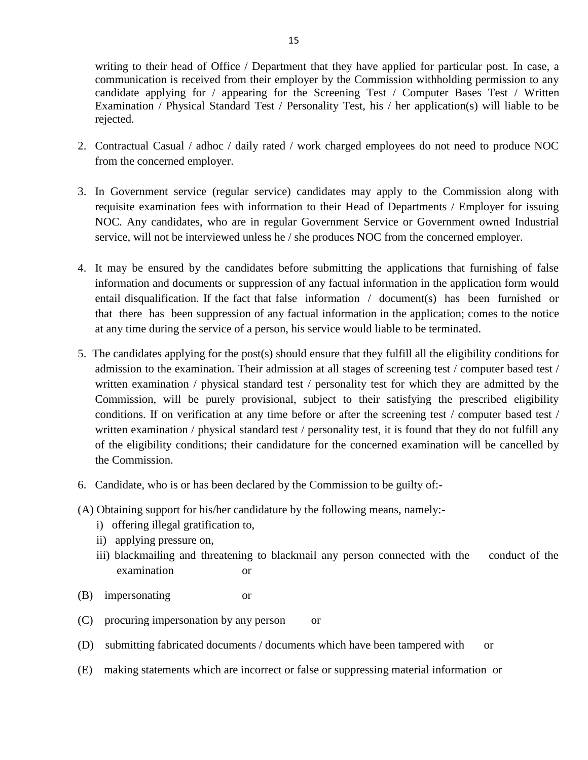writing to their head of Office / Department that they have applied for particular post. In case, a communication is received from their employer by the Commission withholding permission to any candidate applying for / appearing for the Screening Test / Computer Bases Test / Written Examination / Physical Standard Test / Personality Test, his / her application(s) will liable to be rejected.

- 2. Contractual Casual / adhoc / daily rated / work charged employees do not need to produce NOC from the concerned employer.
- 3. In Government service (regular service) candidates may apply to the Commission along with requisite examination fees with information to their Head of Departments / Employer for issuing NOC. Any candidates, who are in regular Government Service or Government owned Industrial service, will not be interviewed unless he / she produces NOC from the concerned employer.
- 4. It may be ensured by the candidates before submitting the applications that furnishing of false information and documents or suppression of any factual information in the application form would entail disqualification. If the fact that false information / document(s) has been furnished or that there has been suppression of any factual information in the application; comes to the notice at any time during the service of a person, his service would liable to be terminated.
- 5. The candidates applying for the post(s) should ensure that they fulfill all the eligibility conditions for admission to the examination. Their admission at all stages of screening test / computer based test / written examination / physical standard test / personality test for which they are admitted by the Commission, will be purely provisional, subject to their satisfying the prescribed eligibility conditions. If on verification at any time before or after the screening test / computer based test / written examination / physical standard test / personality test, it is found that they do not fulfill any of the eligibility conditions; their candidature for the concerned examination will be cancelled by the Commission.
- 6. Candidate, who is or has been declared by the Commission to be guilty of:-
- (A) Obtaining support for his/her candidature by the following means, namely:
	- i) offering illegal gratification to,
	- ii) applying pressure on,
	- iii) blackmailing and threatening to blackmail any person connected with the conduct of the examination or
- (B) impersonating or
- (C) procuring impersonation by any person or
- (D) submitting fabricated documents / documents which have been tampered with or
- (E) making statements which are incorrect or false or suppressing material information or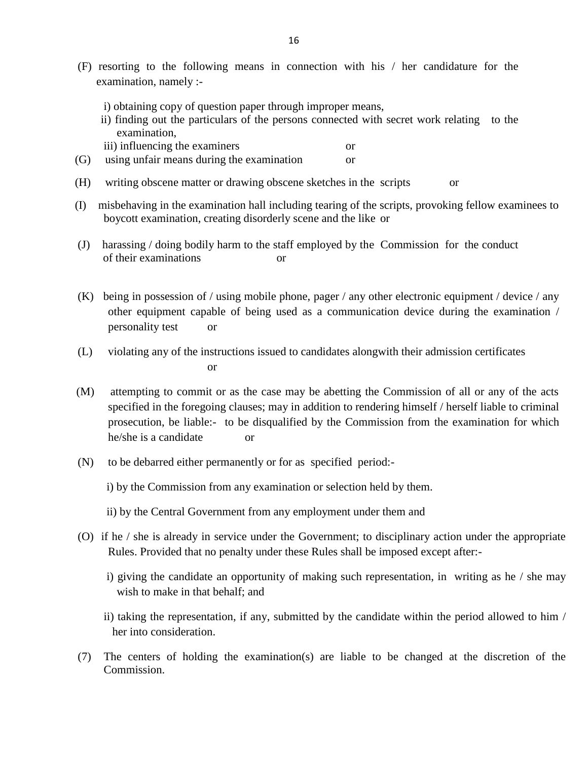- (F) resorting to the following means in connection with his / her candidature for the examination, namely :
	- i) obtaining copy of question paper through improper means,
	- ii) finding out the particulars of the persons connected with secret work relating to the examination,
	- iii) influencing the examiners or
- (G) using unfair means during the examination or
- (H) writing obscene matter or drawing obscene sketches in the scripts or
- (I) misbehaving in the examination hall including tearing of the scripts, provoking fellow examinees to boycott examination, creating disorderly scene and the like or
- (J) harassing / doing bodily harm to the staff employed by the Commission for the conduct of their examinations or
- (K) being in possession of / using mobile phone, pager / any other electronic equipment / device / any other equipment capable of being used as a communication device during the examination / personality test or
- (L) violating any of the instructions issued to candidates alongwith their admission certificates or
- (M) attempting to commit or as the case may be abetting the Commission of all or any of the acts specified in the foregoing clauses; may in addition to rendering himself / herself liable to criminal prosecution, be liable:- to be disqualified by the Commission from the examination for which he/she is a candidate or
- (N) to be debarred either permanently or for as specified period:
	- i) by the Commission from any examination or selection held by them.
	- ii) by the Central Government from any employment under them and
- (O) if he / she is already in service under the Government; to disciplinary action under the appropriate Rules. Provided that no penalty under these Rules shall be imposed except after:
	- i) giving the candidate an opportunity of making such representation, in writing as he / she may wish to make in that behalf; and
	- ii) taking the representation, if any, submitted by the candidate within the period allowed to him / her into consideration.
- (7) The centers of holding the examination(s) are liable to be changed at the discretion of the Commission.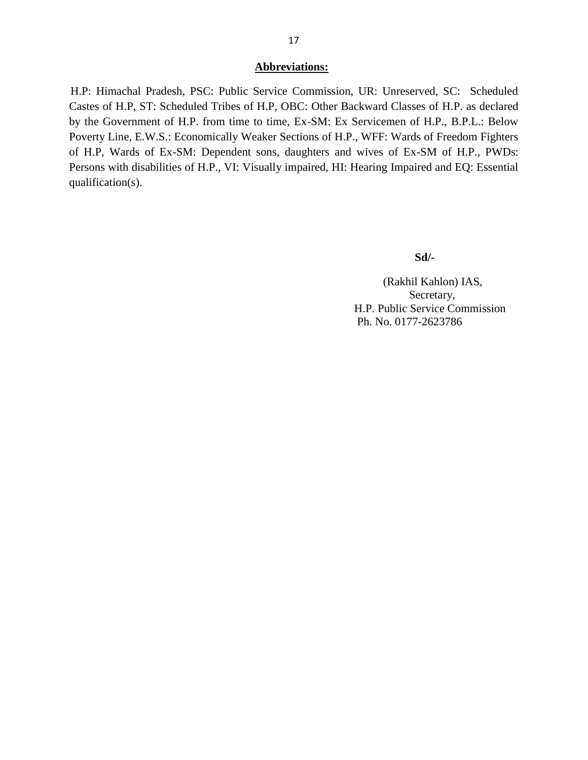#### **Abbreviations:**

 H.P: Himachal Pradesh, PSC: Public Service Commission, UR: Unreserved, SC: Scheduled Castes of H.P, ST: Scheduled Tribes of H.P, OBC: Other Backward Classes of H.P. as declared by the Government of H.P. from time to time, Ex-SM: Ex Servicemen of H.P., B.P.L.: Below Poverty Line, E.W.S.: Economically Weaker Sections of H.P., WFF: Wards of Freedom Fighters of H.P, Wards of Ex-SM: Dependent sons, daughters and wives of Ex-SM of H.P., PWDs: Persons with disabilities of H.P., VI: Visually impaired, HI: Hearing Impaired and EQ: Essential qualification(s).

#### **Sd/-**

(Rakhil Kahlon) IAS, Secretary, H.P. Public Service Commission Ph. No. 0177-2623786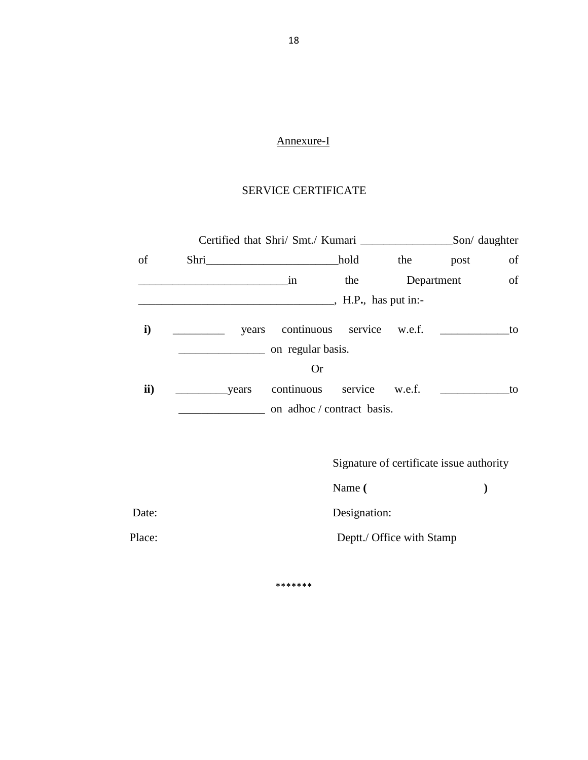# Annexure-I

# SERVICE CERTIFICATE

|               |                   | Certified that Shri/ Smt./ Kumari _____________________Son/ daughter |                           |     |                                          |                         |
|---------------|-------------------|----------------------------------------------------------------------|---------------------------|-----|------------------------------------------|-------------------------|
| of            |                   |                                                                      | hold                      | the | post                                     | of                      |
|               | $\frac{1}{2}$ in  |                                                                      | the                       |     | Department                               | of                      |
|               |                   |                                                                      |                           |     |                                          |                         |
| $\mathbf{i}$  |                   | years continuous service w.e.f.                                      |                           |     |                                          | $\overline{\ }$ to      |
|               | on regular basis. |                                                                      |                           |     |                                          |                         |
|               |                   | <b>Or</b>                                                            |                           |     |                                          |                         |
| $\mathbf{ii}$ |                   |                                                                      |                           |     |                                          | $\overline{\mathbf{t}}$ |
|               |                   | on adhoc/contract basis.                                             |                           |     |                                          |                         |
|               |                   |                                                                      |                           |     |                                          |                         |
|               |                   |                                                                      |                           |     | Signature of certificate issue authority |                         |
|               |                   |                                                                      | Name (                    |     |                                          | $\bm{)}$                |
| Date:         |                   |                                                                      | Designation:              |     |                                          |                         |
| Place:        |                   |                                                                      | Deptt./ Office with Stamp |     |                                          |                         |
|               |                   |                                                                      |                           |     |                                          |                         |

\*\*\*\*\*\*\*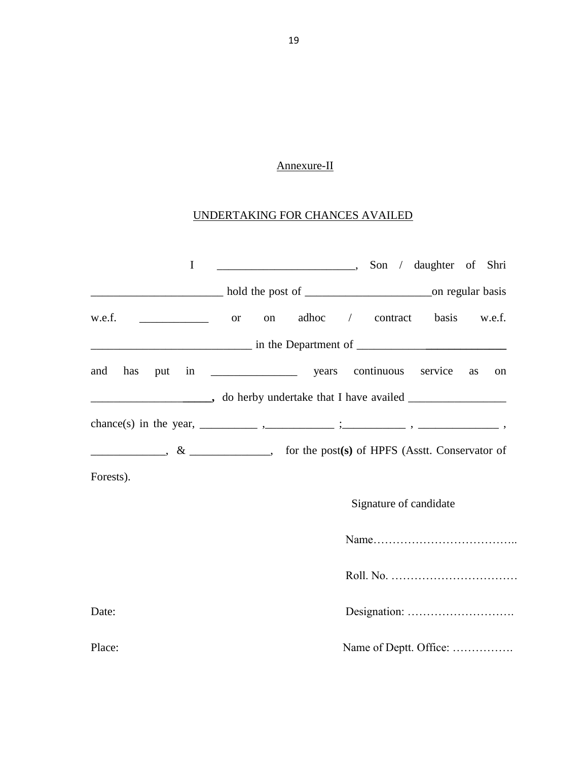# Annexure-II

# UNDERTAKING FOR CHANCES AVAILED

| $\mathbf I$                              | Son / daughter of Shri                                                                                                                                                                                                                                                                                                                                                                                                            |
|------------------------------------------|-----------------------------------------------------------------------------------------------------------------------------------------------------------------------------------------------------------------------------------------------------------------------------------------------------------------------------------------------------------------------------------------------------------------------------------|
|                                          |                                                                                                                                                                                                                                                                                                                                                                                                                                   |
| w.e.f.<br>$\overline{\phantom{a}}$ or on | adhoc / contract basis w.e.f.                                                                                                                                                                                                                                                                                                                                                                                                     |
|                                          | $\frac{1}{2}$ in the Department of $\frac{1}{2}$ and $\frac{1}{2}$ in the Department of $\frac{1}{2}$                                                                                                                                                                                                                                                                                                                             |
| and has                                  | service<br>as<br>on                                                                                                                                                                                                                                                                                                                                                                                                               |
|                                          |                                                                                                                                                                                                                                                                                                                                                                                                                                   |
|                                          |                                                                                                                                                                                                                                                                                                                                                                                                                                   |
|                                          | $\frac{1}{\sqrt{1-\frac{1}{\sqrt{1-\frac{1}{\sqrt{1-\frac{1}{\sqrt{1-\frac{1}{\sqrt{1-\frac{1}{\sqrt{1-\frac{1}{\sqrt{1-\frac{1}{\sqrt{1-\frac{1}{\sqrt{1-\frac{1}{\sqrt{1-\frac{1}{\sqrt{1-\frac{1}{\sqrt{1-\frac{1}{\sqrt{1-\frac{1}{\sqrt{1-\frac{1}{\sqrt{1-\frac{1}{\sqrt{1-\frac{1}{\sqrt{1-\frac{1}{\sqrt{1-\frac{1}{\sqrt{1-\frac{1}{\sqrt{1-\frac{1}{\sqrt{1-\frac{1}{\sqrt{1-\frac{1}{\sqrt{1-\frac{1}{\sqrt{1-\frac{1$ |
| Forests).                                |                                                                                                                                                                                                                                                                                                                                                                                                                                   |
|                                          | Signature of candidate                                                                                                                                                                                                                                                                                                                                                                                                            |
|                                          |                                                                                                                                                                                                                                                                                                                                                                                                                                   |
|                                          |                                                                                                                                                                                                                                                                                                                                                                                                                                   |
| Date:                                    |                                                                                                                                                                                                                                                                                                                                                                                                                                   |
| Place:                                   | Name of Deptt. Office:                                                                                                                                                                                                                                                                                                                                                                                                            |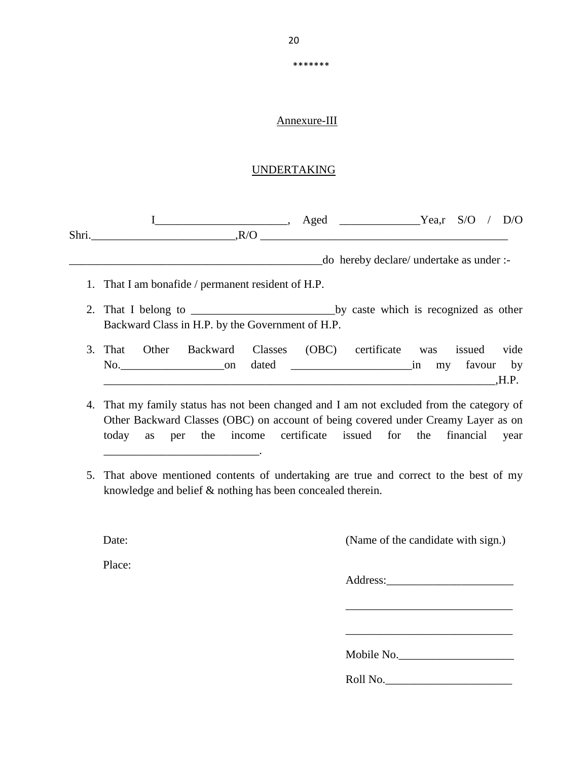\*\*\*\*\*\*\*

### Annexure-III

#### UNDERTAKING

 I\_\_\_\_\_\_\_\_\_\_\_\_\_\_\_\_\_\_\_\_\_\_\_, Aged \_\_\_\_\_\_\_\_\_\_\_\_\_\_Yea,r S/O / D/O Shri.\_\_\_\_\_\_\_\_\_\_\_\_\_\_\_\_\_\_\_\_\_\_\_\_\_,R/O \_\_\_\_\_\_\_\_\_\_\_\_\_\_\_\_\_\_\_\_\_\_\_\_\_\_\_\_\_\_\_\_\_\_\_\_\_\_\_\_\_\_\_ \_\_\_\_\_\_\_\_\_\_\_\_\_\_\_\_\_\_\_\_\_\_\_\_\_\_\_\_\_\_\_\_\_\_\_\_\_\_\_\_\_\_\_\_do hereby declare/ undertake as under :- 1. That I am bonafide / permanent resident of H.P.

- 2. That I belong to \_\_\_\_\_\_\_\_\_\_\_\_\_\_\_\_\_\_\_\_\_\_\_\_\_by caste which is recognized as other Backward Class in H.P. by the Government of H.P.
- 3. That Other Backward Classes (OBC) certificate was issued vide No.\_\_\_\_\_\_\_\_\_\_\_\_\_\_\_\_\_\_on dated \_\_\_\_\_\_\_\_\_\_\_\_\_\_\_\_\_\_\_\_\_in my favour by  $H.P.$
- 4. That my family status has not been changed and I am not excluded from the category of Other Backward Classes (OBC) on account of being covered under Creamy Layer as on today as per the income certificate issued for the financial year
- 5. That above mentioned contents of undertaking are true and correct to the best of my knowledge and belief & nothing has been concealed therein.

Date: (Name of the candidate with sign.)

Place:

\_\_\_\_\_\_\_\_\_\_\_\_\_\_\_\_\_\_\_\_\_\_\_\_\_\_\_.

Address:\_\_\_\_\_\_\_\_\_\_\_\_\_\_\_\_\_\_\_\_\_\_

\_\_\_\_\_\_\_\_\_\_\_\_\_\_\_\_\_\_\_\_\_\_\_\_\_\_\_\_\_

\_\_\_\_\_\_\_\_\_\_\_\_\_\_\_\_\_\_\_\_\_\_\_\_\_\_\_\_\_

Mobile No.

Roll No.